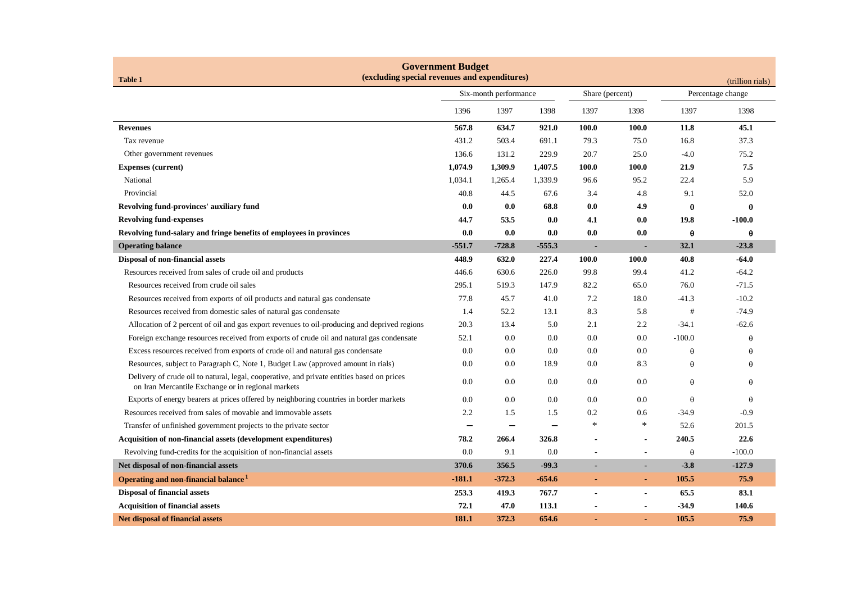| <b>Government Budget</b><br>(excluding special revenues and expenditures)<br><b>Table 1</b><br>(trillion rials)                                  |                       |          |          |                 |                          |                   |          |
|--------------------------------------------------------------------------------------------------------------------------------------------------|-----------------------|----------|----------|-----------------|--------------------------|-------------------|----------|
|                                                                                                                                                  | Six-month performance |          |          | Share (percent) |                          | Percentage change |          |
|                                                                                                                                                  | 1396                  | 1397     | 1398     | 1397            | 1398                     | 1397              | 1398     |
| <b>Revenues</b>                                                                                                                                  | 567.8                 | 634.7    | 921.0    | 100.0           | 100.0                    | 11.8              | 45.1     |
| Tax revenue                                                                                                                                      | 431.2                 | 503.4    | 691.1    | 79.3            | 75.0                     | 16.8              | 37.3     |
| Other government revenues                                                                                                                        | 136.6                 | 131.2    | 229.9    | 20.7            | 25.0                     | $-4.0$            | 75.2     |
| <b>Expenses (current)</b>                                                                                                                        | 1,074.9               | 1,309.9  | 1,407.5  | 100.0           | 100.0                    | 21.9              | 7.5      |
| National                                                                                                                                         | 1,034.1               | 1,265.4  | 1,339.9  | 96.6            | 95.2                     | 22.4              | 5.9      |
| Provincial                                                                                                                                       | 40.8                  | 44.5     | 67.6     | 3.4             | 4.8                      | 9.1               | 52.0     |
| Revolving fund-provinces' auxiliary fund                                                                                                         | 0.0                   | 0.0      | 68.8     | 0.0             | 4.9                      | $\theta$          | θ        |
| <b>Revolving fund-expenses</b>                                                                                                                   | 44.7                  | 53.5     | 0.0      | 4.1             | 0.0                      | 19.8              | $-100.0$ |
| Revolving fund-salary and fringe benefits of employees in provinces                                                                              | 0.0                   | 0.0      | 0.0      | 0.0             | 0.0                      | $\theta$          | θ        |
| <b>Operating balance</b>                                                                                                                         | $-551.7$              | $-728.8$ | $-555.3$ | $\blacksquare$  | ٠                        | 32.1              | $-23.8$  |
| Disposal of non-financial assets                                                                                                                 | 448.9                 | 632.0    | 227.4    | 100.0           | 100.0                    | 40.8              | $-64.0$  |
| Resources received from sales of crude oil and products                                                                                          | 446.6                 | 630.6    | 226.0    | 99.8            | 99.4                     | 41.2              | $-64.2$  |
| Resources received from crude oil sales                                                                                                          | 295.1                 | 519.3    | 147.9    | 82.2            | 65.0                     | 76.0              | $-71.5$  |
| Resources received from exports of oil products and natural gas condensate                                                                       | 77.8                  | 45.7     | 41.0     | 7.2             | 18.0                     | $-41.3$           | $-10.2$  |
| Resources received from domestic sales of natural gas condensate                                                                                 | 1.4                   | 52.2     | 13.1     | 8.3             | 5.8                      | #                 | $-74.9$  |
| Allocation of 2 percent of oil and gas export revenues to oil-producing and deprived regions                                                     | 20.3                  | 13.4     | 5.0      | 2.1             | 2.2                      | $-34.1$           | $-62.6$  |
| Foreign exchange resources received from exports of crude oil and natural gas condensate                                                         | 52.1                  | $0.0\,$  | 0.0      | $0.0\,$         | 0.0                      | $-100.0$          | $\theta$ |
| Excess resources received from exports of crude oil and natural gas condensate                                                                   | 0.0                   | 0.0      | 0.0      | $0.0\,$         | 0.0                      | $\theta$          | $\theta$ |
| Resources, subject to Paragraph C, Note 1, Budget Law (approved amount in rials)                                                                 | 0.0                   | 0.0      | 18.9     | 0.0             | 8.3                      | $\theta$          | $\theta$ |
| Delivery of crude oil to natural, legal, cooperative, and private entities based on prices<br>on Iran Mercantile Exchange or in regional markets | 0.0                   | 0.0      | 0.0      | $0.0\,$         | 0.0                      | $\theta$          | $\theta$ |
| Exports of energy bearers at prices offered by neighboring countries in border markets                                                           | 0.0                   | 0.0      | 0.0      | 0.0             | 0.0                      | $\theta$          | $\theta$ |
| Resources received from sales of movable and immovable assets                                                                                    | 2.2                   | 1.5      | 1.5      | 0.2             | 0.6                      | -34.9             | $-0.9$   |
| Transfer of unfinished government projects to the private sector                                                                                 |                       |          |          | $\ast$          | *                        | 52.6              | 201.5    |
| Acquisition of non-financial assets (development expenditures)                                                                                   | 78.2                  | 266.4    | 326.8    |                 | $\blacksquare$           | 240.5             | 22.6     |
| Revolving fund-credits for the acquisition of non-financial assets                                                                               | 0.0                   | 9.1      | 0.0      | $\overline{a}$  | $\overline{\phantom{a}}$ | $\theta$          | $-100.0$ |
| Net disposal of non-financial assets                                                                                                             | 370.6                 | 356.5    | $-99.3$  |                 | ٠                        | $-3.8$            | $-127.9$ |
| Operating and non-financial balance <sup>1</sup>                                                                                                 | $-181.1$              | $-372.3$ | $-654.6$ | $\blacksquare$  | $\blacksquare$           | 105.5             | 75.9     |
| <b>Disposal of financial assets</b>                                                                                                              | 253.3                 | 419.3    | 767.7    | $\blacksquare$  | $\blacksquare$           | 65.5              | 83.1     |
| <b>Acquisition of financial assets</b>                                                                                                           | 72.1                  | 47.0     | 113.1    |                 | $\blacksquare$           | $-34.9$           | 140.6    |
| <b>Net disposal of financial assets</b>                                                                                                          | 181.1                 | 372.3    | 654.6    |                 |                          | 105.5             | 75.9     |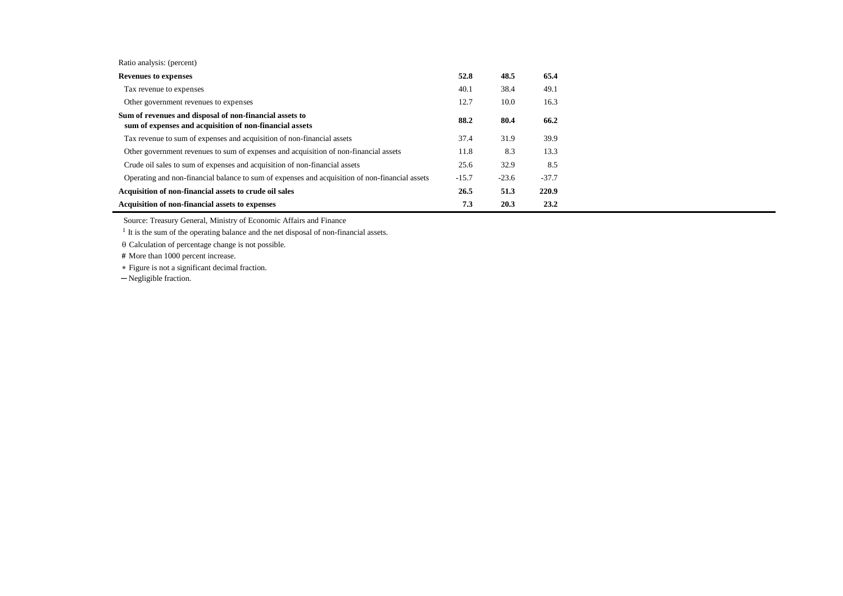| Ratio analysis: (percent) |  |
|---------------------------|--|
|---------------------------|--|

| <b>Revenues to expenses</b>                                                                                        | 52.8    | 48.5    | 65.4    |
|--------------------------------------------------------------------------------------------------------------------|---------|---------|---------|
| Tax revenue to expenses                                                                                            | 40.1    | 38.4    | 49.1    |
| Other government revenues to expenses                                                                              | 12.7    | 10.0    | 16.3    |
| Sum of revenues and disposal of non-financial assets to<br>sum of expenses and acquisition of non-financial assets | 88.2    | 80.4    | 66.2    |
| Tax revenue to sum of expenses and acquisition of non-financial assets                                             | 37.4    | 31.9    | 39.9    |
| Other government revenues to sum of expenses and acquisition of non-financial assets                               | 11.8    | 8.3     | 13.3    |
| Crude oil sales to sum of expenses and acquisition of non-financial assets                                         | 25.6    | 32.9    | 8.5     |
| Operating and non-financial balance to sum of expenses and acquisition of non-financial assets                     | $-15.7$ | $-23.6$ | $-37.7$ |
| Acquisition of non-financial assets to crude oil sales                                                             | 26.5    | 51.3    | 220.9   |
| Acquisition of non-financial assets to expenses                                                                    | 7.3     | 20.3    | 23.2    |

Source: Treasury General, Ministry of Economic Affairs and Finance

<sup>1</sup> It is the sum of the operating balance and the net disposal of non-financial assets.

 $\theta$  Calculation of percentage change is not possible.

 **#** More than 1000 percent increase.

Figure is not a significant decimal fraction.

─ Negligible fraction.